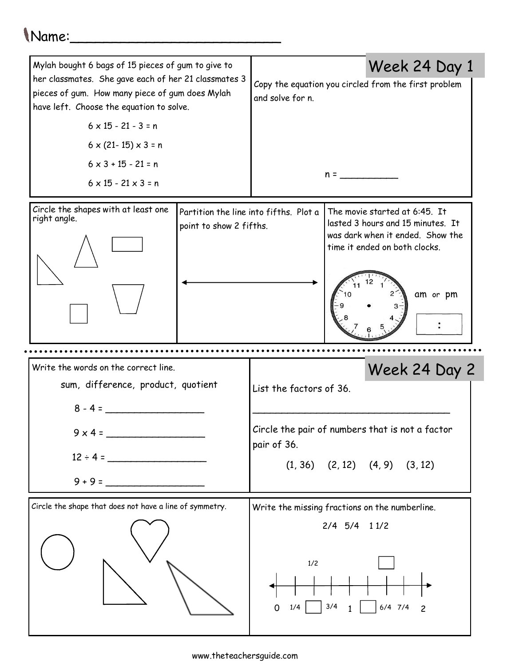## Name:

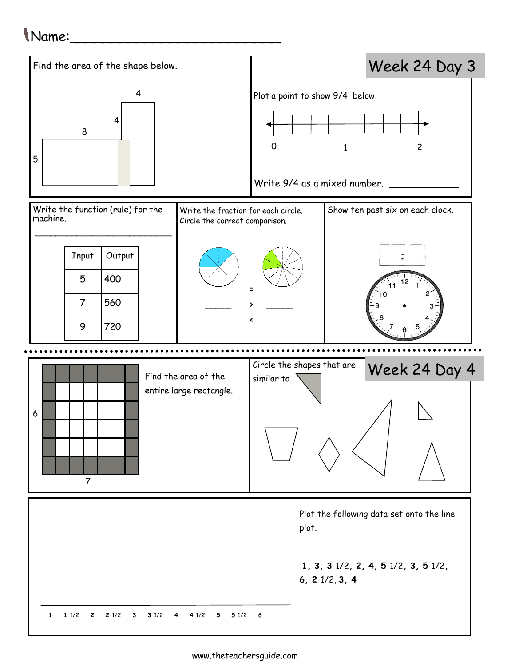## Name:\_\_\_\_\_\_\_\_\_\_\_\_\_\_\_\_\_\_\_\_\_\_\_\_\_